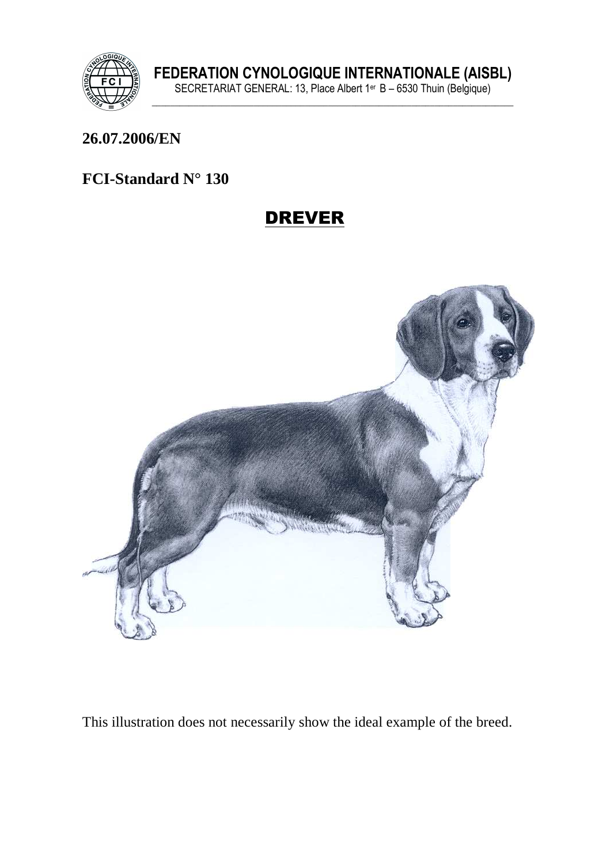

#### **26.07.2006/EN**

## **FCI-Standard N° 130**

# DREVER



This illustration does not necessarily show the ideal example of the breed.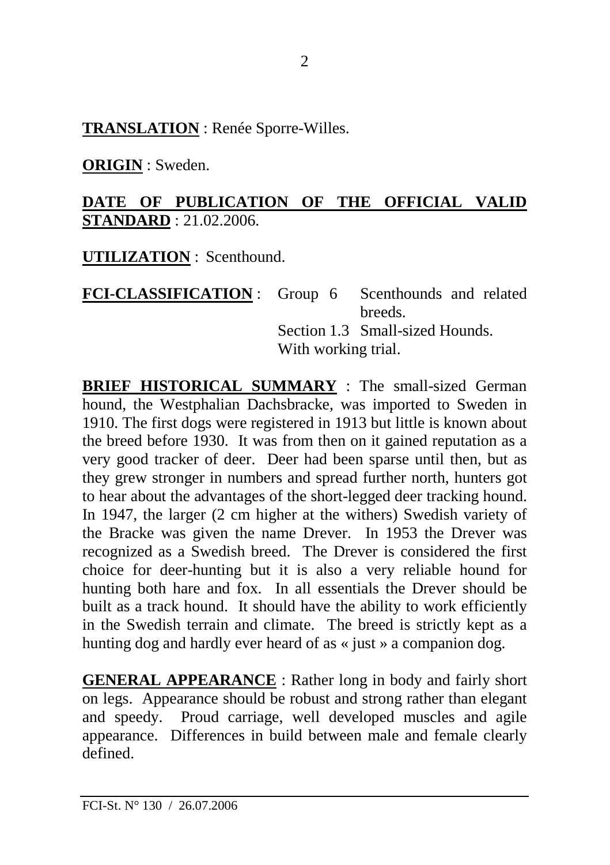**TRANSLATION** : Renée Sporre-Willes.

**ORIGIN** : Sweden.

## **DATE OF PUBLICATION OF THE OFFICIAL VALID STANDARD** : 21.02.2006.

**UTILIZATION** : Scenthound.

**FCI-CLASSIFICATION** : Group 6 Scenthounds and related breeds. Section 1.3 Small-sized Hounds. With working trial.

**BRIEF HISTORICAL SUMMARY** : The small-sized German hound, the Westphalian Dachsbracke, was imported to Sweden in 1910. The first dogs were registered in 1913 but little is known about the breed before 1930. It was from then on it gained reputation as a very good tracker of deer. Deer had been sparse until then, but as they grew stronger in numbers and spread further north, hunters got to hear about the advantages of the short-legged deer tracking hound. In 1947, the larger (2 cm higher at the withers) Swedish variety of the Bracke was given the name Drever. In 1953 the Drever was recognized as a Swedish breed. The Drever is considered the first choice for deer-hunting but it is also a very reliable hound for hunting both hare and fox. In all essentials the Drever should be built as a track hound. It should have the ability to work efficiently in the Swedish terrain and climate. The breed is strictly kept as a hunting dog and hardly ever heard of as « just » a companion dog.

**GENERAL APPEARANCE** : Rather long in body and fairly short on legs. Appearance should be robust and strong rather than elegant and speedy. Proud carriage, well developed muscles and agile appearance. Differences in build between male and female clearly defined.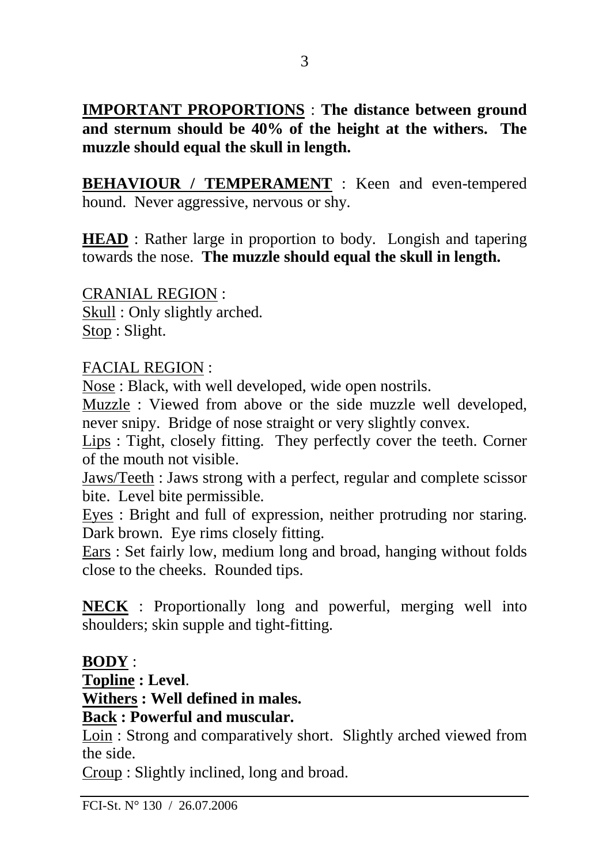**IMPORTANT PROPORTIONS** : **The distance between ground and sternum should be 40% of the height at the withers. The muzzle should equal the skull in length.** 

**BEHAVIOUR / TEMPERAMENT** : Keen and even-tempered hound. Never aggressive, nervous or shy.

**HEAD** : Rather large in proportion to body. Longish and tapering towards the nose. **The muzzle should equal the skull in length.** 

CRANIAL REGION : Skull : Only slightly arched. Stop : Slight.

## FACIAL REGION :

Nose : Black, with well developed, wide open nostrils.

Muzzle : Viewed from above or the side muzzle well developed, never snipy. Bridge of nose straight or very slightly convex.

Lips : Tight, closely fitting. They perfectly cover the teeth. Corner of the mouth not visible.

Jaws/Teeth : Jaws strong with a perfect, regular and complete scissor bite. Level bite permissible.

Eyes : Bright and full of expression, neither protruding nor staring. Dark brown. Eye rims closely fitting.

Ears : Set fairly low, medium long and broad, hanging without folds close to the cheeks. Rounded tips.

**NECK** : Proportionally long and powerful, merging well into shoulders; skin supple and tight-fitting.

# **BODY** :

**Topline : Level**.

**Withers : Well defined in males.** 

## **Back : Powerful and muscular.**

Loin : Strong and comparatively short. Slightly arched viewed from the side.

Croup : Slightly inclined, long and broad.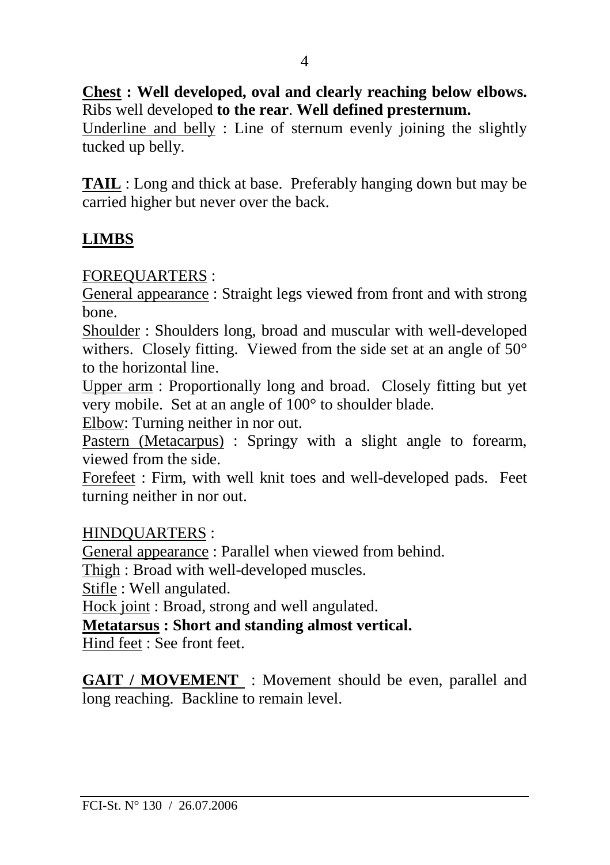**Chest : Well developed, oval and clearly reaching below elbows.**  Ribs well developed **to the rear**. **Well defined presternum.** 

Underline and belly : Line of sternum evenly joining the slightly tucked up belly.

**TAIL** : Long and thick at base. Preferably hanging down but may be carried higher but never over the back.

# **LIMBS**

FOREQUARTERS :

General appearance : Straight legs viewed from front and with strong bone.

Shoulder : Shoulders long, broad and muscular with well-developed withers. Closely fitting. Viewed from the side set at an angle of 50° to the horizontal line.

Upper arm : Proportionally long and broad. Closely fitting but yet very mobile. Set at an angle of 100° to shoulder blade.

Elbow: Turning neither in nor out.

Pastern (Metacarpus) : Springy with a slight angle to forearm, viewed from the side.

Forefeet : Firm, with well knit toes and well-developed pads. Feet turning neither in nor out.

HINDQUARTERS :

General appearance : Parallel when viewed from behind.

Thigh : Broad with well-developed muscles.

Stifle : Well angulated.

Hock joint : Broad, strong and well angulated.

**Metatarsus : Short and standing almost vertical.**

Hind feet : See front feet.

**GAIT / MOVEMENT** : Movement should be even, parallel and long reaching. Backline to remain level.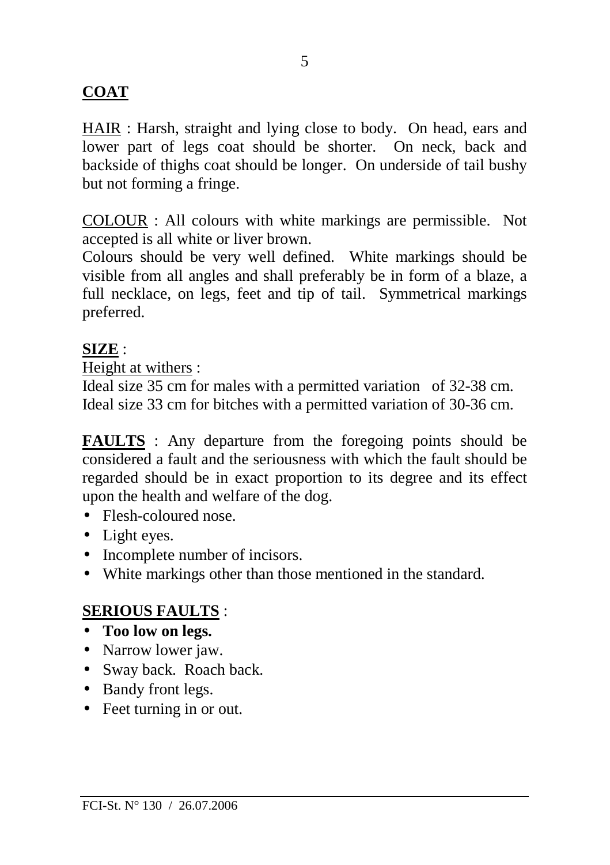# **COAT**

HAIR : Harsh, straight and lying close to body. On head, ears and lower part of legs coat should be shorter. On neck, back and backside of thighs coat should be longer. On underside of tail bushy but not forming a fringe.

COLOUR : All colours with white markings are permissible. Not accepted is all white or liver brown.

Colours should be very well defined. White markings should be visible from all angles and shall preferably be in form of a blaze, a full necklace, on legs, feet and tip of tail. Symmetrical markings preferred.

## **SIZE** :

Height at withers :

Ideal size 35 cm for males with a permitted variation of 32-38 cm. Ideal size 33 cm for bitches with a permitted variation of 30-36 cm.

**FAULTS** : Any departure from the foregoing points should be considered a fault and the seriousness with which the fault should be regarded should be in exact proportion to its degree and its effect upon the health and welfare of the dog.

- Flesh-coloured nose.
- Light eyes.
- Incomplete number of incisors.
- White markings other than those mentioned in the standard.

## **SERIOUS FAULTS** :

- **Too low on legs.**
- Narrow lower jaw.
- Sway back. Roach back.
- Bandy front legs.
- Feet turning in or out.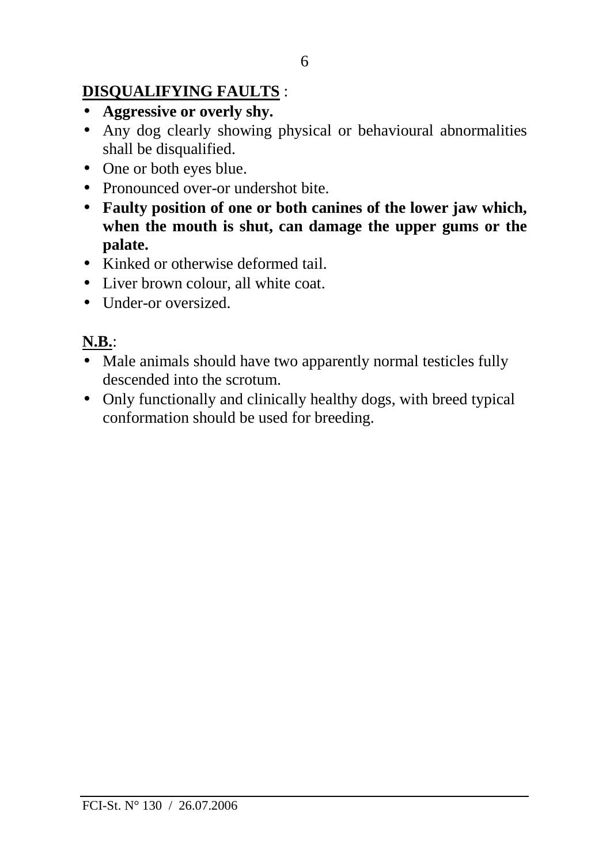# **DISQUALIFYING FAULTS** :

- **Aggressive or overly shy.**
- Any dog clearly showing physical or behavioural abnormalities shall be disqualified.
- One or both eyes blue.
- Pronounced over-or undershot bite.
- **Faulty position of one or both canines of the lower jaw which, when the mouth is shut, can damage the upper gums or the palate.**
- Kinked or otherwise deformed tail.
- Liver brown colour, all white coat.
- Under-or oversized

# **N.B.**:

- Male animals should have two apparently normal testicles fully descended into the scrotum.
- Only functionally and clinically healthy dogs, with breed typical conformation should be used for breeding.